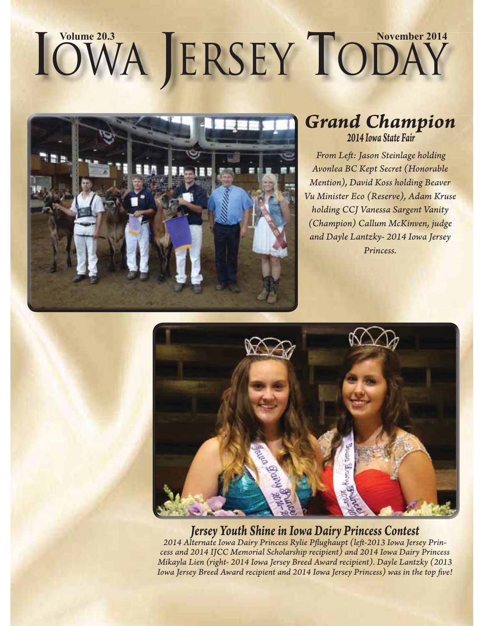# $\text{IOWA}$  **LERSEY TODAY**



#### *Grand Champion 2014 Iowa State Fair*

*From Left : Jason Steinlage holding Avonlea BC Kept Secret (Honorable Mention), David Koss holding Beaver Vu Minister Eco (Reserve), Adam Kruse holding CCJ Vanessa Sargent Vanity (Champion) Callum McKinven, judge and Dayle Lantzky- 2014 Iowa Jersey Princess.*



#### *Jersey Youth Shine in Iowa Dairy Princess Contest*

2014 Alternate Iowa Dairy Princess Rylie Pflughaupt (left-2013 Iowa Jersey Prin*cess and 2014 IJCC Memorial Scholarship recipient) and 2014 Iowa Dairy Princess Mikayla Lien (right- 2014 Iowa Jersey Breed Award recipient). Dayle Lantzky (2013*  Iowa Jersey Breed Award recipient and 2014 Iowa Jersey Princess) was in the top five!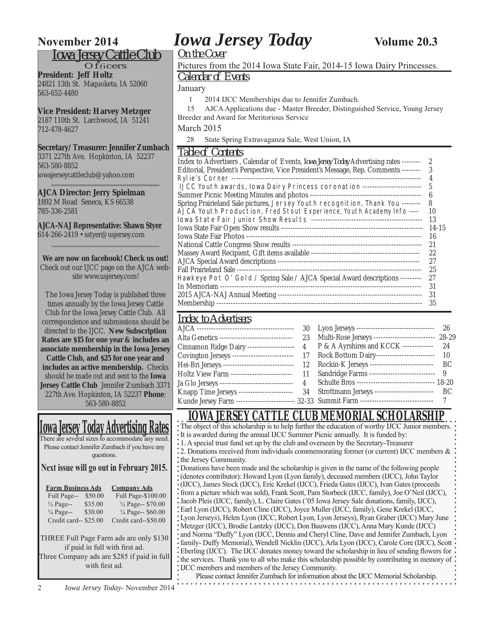#### *Iowa Jersey Cattle Club*

 $O$ f $f$ ficers **President: Jeff Holtz** 24821 13th St. Maquoketa, IA 52060 563-652-4480

#### **Vice President: Harvey Metzger**

2187 110th St. Larchwood, IA 51241 712-478-4627

#### **Secretary/Treasurer: Jennifer Zumbach**

3371 227th Ave. Hopkinton, IA 52237 563-580-8852 iowajerseycattleclub@yahoo.com

#### **AJCA Director: Jerry Spielman**

1892 M Road Seneca, KS 66538 785-336-2581

**AJCA-NAJ Representative: Shawn Styer** 614-266-2419 • sstyer@usjersey.com

#### **We are now on facebook! Check us out!**

Check out our IJCC page on the AJCA website www.usjersey.com!

The Iowa Jersey Today is published three times annually by the Iowa Jersey Cattle Club for the Iowa Jersey Cattle Club. All correspondence and submissions should be directed to the IJCC. **New Subscription Rates are \$15 for one year & includes an associate membership in the Iowa Jersey Cattle Club, and \$25 for one year and includes an active membership.** Checks should be made out and sent to the **Iowa Jersey Cattle Club** Jennifer Zumbach 3371 227th Ave. Hopkinton, IA 52237 **Phone**: 563-580-8852

#### **Iowa Jersey Today Advertising Rates**

There are several sizes to accommodate any need. Please contact Jennifer Zumbach if you have any questions.

**Next issue will go out in February 2015.**

| <b>Farm Business Ads</b> |         | <b>Company Ads</b>           |  |  |  |
|--------------------------|---------|------------------------------|--|--|--|
| Full Page--              | \$50.00 | Full Page-\$100.00           |  |  |  |
| $\frac{1}{2}$ Page--     | \$35.00 | 1/2 Page-- \$70.00           |  |  |  |
| $\frac{1}{4}$ Page--     | \$30.00 | $\frac{1}{4}$ Page-- \$60.00 |  |  |  |
| Credit card-- \$25.00    |         | Credit card--\$50.00         |  |  |  |
|                          |         |                              |  |  |  |

THREE Full Page Farm ads are only \$130 if paid in full with first ad.

Three Company ads are \$285 if paid in full with first ad.

### **November 2014** *Iowa Jersey Today* **Volume 20.3**

*On the Cover*

#### Pictures from the 2014 Iowa State Fair, 2014-15 Iowa Dairy Princesses.

*Calendar of Events*

January

1 2014 IJCC Memberships due to Jennifer Zumbach.

 15 AJCA Applications due - Master Breeder, Distinguished Service, Young Jersey Breeder and Award for Meritorious Service

March 2015

28 State Spring Extravaganza Sale, West Union, IA

#### *Table of Contents*

| TUNIV VI VUITUITU                                                                            |               |
|----------------------------------------------------------------------------------------------|---------------|
| Index to Advertisers, Calendar of Events, <i>Iowa Jersey Today</i> Advertising rates ------- | $\mathcal{P}$ |
| Editorial, President's Perspective, Vice President's Message, Rep. Comments --------         | 3             |
| Rylie's Corner -----                                                                         | 4             |
| IJCC Youth awards, Iowa Dairy Princess coronation ------------------------                   | 5             |
| Summer Picnic Meeting Minutes and photos ----                                                | 6             |
| Spring Prairieland Sale pictures, Jersey Youth recognition, Thank You --------               | 8             |
| AJCA Youth Production, Fred Stout Experience, Youth Academy Info ----                        | 10            |
|                                                                                              | 13            |
|                                                                                              | 14-15         |
| Iowa State Fair Photos ----                                                                  | 16            |
|                                                                                              | 21            |
|                                                                                              | 22            |
|                                                                                              | 27            |
|                                                                                              | -25           |
| Hawkeye Pot O' Gold / Spring Sale / AJCA Special Award descriptions --------                 | 27            |
| In Memoriam ---                                                                              | 31            |
|                                                                                              | 31            |
| Membership -                                                                                 | 35            |
|                                                                                              |               |

### *Index to Advertisers*

|  | Alta Genetics ------------------------------- 23 Multi-Rose Jerseys ------------------------ 28-29    |  |
|--|-------------------------------------------------------------------------------------------------------|--|
|  | Cinnamon Ridge Dairy -------------------- 4 P & A Ayrshires and KCCK ------------- 24                 |  |
|  | Covington Jerseys -------------------------- 17 Rock Bottom Dairy------------------------ 10          |  |
|  | Hei-Bri Jerseys ----------------------------- 12 Rockin-K Jerseys -------------------------- BC       |  |
|  | Holtz View Farm ------------------------- 11 Sandridge Farms --------------------------- 9            |  |
|  | Ja Glo Jerseys ------------------------------- 4 Schulte Bros --------------------------------- 18-20 |  |
|  | Knapp Time Jerseys ----------------------- 34 Strottmann Jerseys ------------------------- BC         |  |
|  | Kunde Jersey Farm ------------------------ 32-33 Summit Farm -------------------------------- 7       |  |
|  |                                                                                                       |  |

#### **IOWA JERSEY CATTLE CLUB MEMORIAL SCHOLARSHIP**

| The object of this scholarship is to help further the education of worthy IJCC Junior members.                |
|---------------------------------------------------------------------------------------------------------------|
| It is awarded during the annual IJCC Summer Picnic annually. It is funded by:                                 |
| 1. A special trust fund set up by the club and overseen by the Secretary-Treasurer                            |
| 2. Donations received from individuals commemorating former (or current) IJCC members $\&$                    |
| the Jersey Community.                                                                                         |
| Donations have been made and the scholarship is given in the name of the following people                     |
| (denotes contributor): Howard Lyon (Lyon family), deceased members (IJCC), John Taylor                        |
| (IJCC), James Stock (IJCC), Eric Krekel (IJCC), Frieda Gates (IJCC), Ivan Gates (proceeds                     |
| from a picture which was sold), Frank Scott, Pam Storbeck (IJCC, family), Joe O'Neil (IJCC),                  |
| Jacob Pleis (IJCC, family), L. Claire Gates ('05 Iowa Jersey Sale donations, family, IJCC),                   |
| Earl Lyon (IJCC), Robert Cline (IJCC), Joyce Muller (IJCC, family), Gene Krekel (IJCC,                        |
| Lyon Jerseys), Helen Lyon (IJCC, Robert Lyon, Lyon Jerseys), Ryan Graber (IJCC) Mary June                     |
| Metzger (IJCC), Brodie Lantzky (IJCC), Don Bauwens (IJCC), Anna Mary Kunde (IJCC)                             |
| and Norma "Duffy" Lyon (IJCC, Dennis and Cheryl Cline, Dave and Jennifer Zumbach, Lyon                        |
| family- Duffy Memorial), Wendell Nicklin (IJCC), Arla Lyon (IJCC), Carole Core (IJCC), Scott .                |
| Eberling (IJCC). The IJCC donates money toward the scholarship in lieu of sending flowers for                 |
| the services. Thank you to all who make this scholarship possible by contributing in memory of $\ddot{\cdot}$ |
| IJCC members and members of the Jersey Community.                                                             |
| Please contact Jennifer Zumbach for information about the IJCC Memorial Scholarship.                          |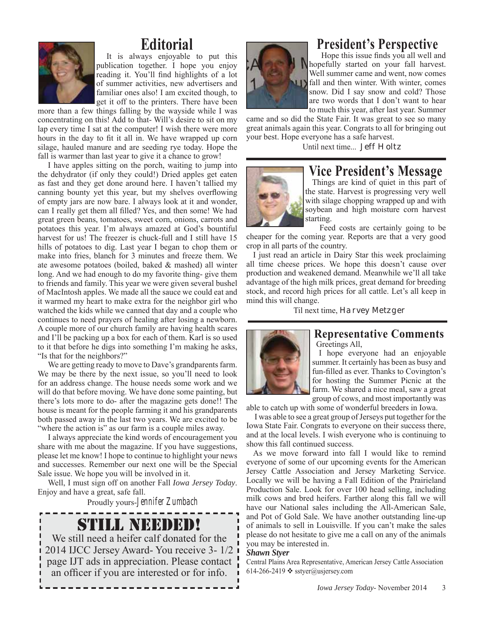

### **Editorial**

It is always enjoyable to put this publication together. I hope you enjoy reading it. You'll find highlights of a lot of summer activities, new advertisers and familiar ones also! I am excited though, to get it off to the printers. There have been

more than a few things falling by the wayside while I was concentrating on this! Add to that- Will's desire to sit on my lap every time I sat at the computer! I wish there were more hours in the day to fit it all in. We have wrapped up corn silage, hauled manure and are seeding rye today. Hope the fall is warmer than last year to give it a chance to grow!

I have apples sitting on the porch, waiting to jump into the dehydrator (if only they could!) Dried apples get eaten as fast and they get done around here. I haven't tallied my canning bounty yet this year, but my shelves overflowing of empty jars are now bare. I always look at it and wonder, can I really get them all filled? Yes, and then some! We had great green beans, tomatoes, sweet corn, onions, carrots and potatoes this year. I'm always amazed at God's bountiful harvest for us! The freezer is chuck-full and I still have 15 hills of potatoes to dig. Last year I began to chop them or make into fries, blanch for 3 minutes and freeze them. We ate awesome potatoes (boiled, baked & mashed) all winter long. And we had enough to do my favorite thing- give them to friends and family. This year we were given several bushel of MacIntosh apples. We made all the sauce we could eat and it warmed my heart to make extra for the neighbor girl who watched the kids while we canned that day and a couple who continues to need prayers of healing after losing a newborn. A couple more of our church family are having health scares and I'll be packing up a box for each of them. Karl is so used to it that before he digs into something I'm making he asks, "Is that for the neighbors?"

We are getting ready to move to Dave's grandparents farm. We may be there by the next issue, so you'll need to look for an address change. The house needs some work and we will do that before moving. We have done some painting, but there's lots more to do- after the magazine gets done!! The house is meant for the people farming it and his grandparents both passed away in the last two years. We are excited to be "where the action is" as our farm is a couple miles away.

I always appreciate the kind words of encouragement you share with me about the magazine. If you have suggestions, please let me know! I hope to continue to highlight your news and successes. Remember our next one will be the Special Sale issue. We hope you will be involved in it.

Well, I must sign off on another Fall *Iowa Jersey Today*. Enjoy and have a great, safe fall.

Proudly yours-Jennifer Zumbach

### STILL NEEDED!

We still need a heifer calf donated for the 2014 IJCC Jersey Award- You receive 3- 1/2 page IJT ads in appreciation. Please contact an officer if you are interested or for info.



### **President's Perspective**

Hope this issue finds you all well and hopefully started on your fall harvest. Well summer came and went, now comes fall and then winter. With winter, comes snow. Did I say snow and cold? Those are two words that I don't want to hear to much this year, after last year. Summer

came and so did the State Fair. It was great to see so many great animals again this year. Congrats to all for bringing out your best. Hope everyone has a safe harvest.

Until next time... *Jeff Holtz*



#### **Vice President's Message**

Things are kind of quiet in this part of the state. Harvest is progressing very well with silage chopping wrapped up and with soybean and high moisture corn harvest starting.

 Feed costs are certainly going to be cheaper for the coming year. Reports are that a very good crop in all parts of the country.

I just read an article in Dairy Star this week proclaiming all time cheese prices. We hope this doesn't cause over production and weakened demand. Meanwhile we'll all take advantage of the high milk prices, great demand for breeding stock, and record high prices for all cattle. Let's all keep in mind this will change.

Til next time, *Harvey Metzger*



#### **Representative Comments** Greetings All,

I hope everyone had an enjoyable summer. It certainly has been as busy and fun-filled as ever. Thanks to Covington's for hosting the Summer Picnic at the farm. We shared a nice meal, saw a great group of cows, and most importantly was

able to catch up with some of wonderful breeders in Iowa.

 I was able to see a great group of Jerseys put together for the Iowa State Fair. Congrats to everyone on their success there, and at the local levels. I wish everyone who is continuing to show this fall continued success.

As we move forward into fall I would like to remind everyone of some of our upcoming events for the American Jersey Cattle Association and Jersey Marketing Service. Locally we will be having a Fall Edition of the Prairieland Production Sale. Look for over 100 head selling, including milk cows and bred heifers. Farther along this fall we will have our National sales including the All-American Sale, and Pot of Gold Sale. We have another outstanding line-up of animals to sell in Louisville. If you can't make the sales please do not hesitate to give me a call on any of the animals you may be interested in.

#### *Shawn Styer*

Central Plains Area Representative, American Jersey Cattle Association 614-266-2419  $\diamond$  sstyer@usjersey.com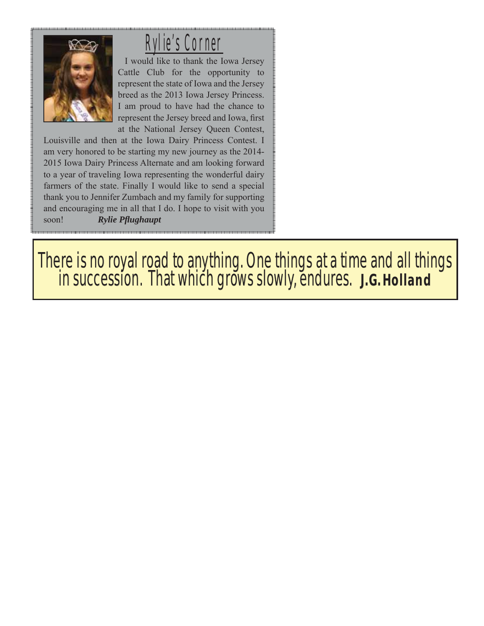

### Rylie's Corner

I would like to thank the Iowa Jersey Cattle Club for the opportunity to represent the state of Iowa and the Jersey breed as the 2013 Iowa Jersey Princess. I am proud to have had the chance to represent the Jersey breed and Iowa, first at the National Jersey Queen Contest,

Louisville and then at the Iowa Dairy Princess Contest. I am very honored to be starting my new journey as the 2014- 2015 Iowa Dairy Princess Alternate and am looking forward to a year of traveling Iowa representing the wonderful dairy farmers of the state. Finally I would like to send a special thank you to Jennifer Zumbach and my family for supporting and encouraging me in all that I do. I hope to visit with you soon! **Rylie Pflughaupt** 

There is no royal road to anything. One things at a time and all things in succession. That which grows slowly, endures.  **J.G. Holland**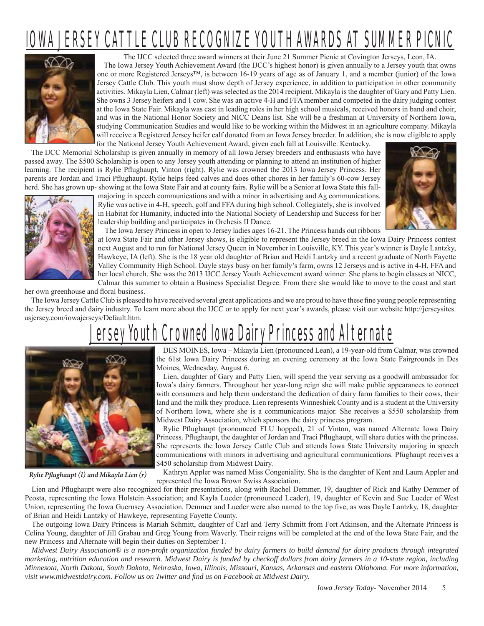## OWA JERSEY CATTLE CLUB RECOGNIZE YOUTH AWARDS AT SUMMER PICNIC



The IJCC selected three award winners at their June 21 Summer Picnic at Covington Jerseys, Leon, IA. The Iowa Jersey Youth Achievement Award (the IJCC's highest honor) is given annually to a Jersey youth that owns one or more Registered Jerseys™, is between 16-19 years of age as of January 1, and a member (junior) of the Iowa Jersey Cattle Club. This youth must show depth of Jersey experience, in addition to participation in other community activities. Mikayla Lien, Calmar (left) was selected as the 2014 recipient. Mikayla is the daughter of Gary and Patty Lien. She owns 3 Jersey heifers and 1 cow. She was an active 4-H and FFA member and competed in the dairy judging contest at the Iowa State Fair. Mikayla was cast in leading roles in her high school musicals, received honors in band and choir, and was in the National Honor Society and NICC Deans list. She will be a freshman at University of Northern Iowa, studying Communication Studies and would like to be working within the Midwest in an agriculture company. Mikayla will receive a Registered Jersey heifer calf donated from an Iowa Jersey breeder. In addition, she is now eligible to apply for the National Jersey Youth Achievement Award, given each fall at Louisville. Kentucky.

The IJCC Memorial Scholarship is given annually in memory of all Iowa Jersey breeders and enthusiasts who have passed away. The \$500 Scholarship is open to any Jersey youth attending or planning to attend an institution of higher learning. The recipient is Rylie Pflughaupt, Vinton (right). Rylie was crowned the 2013 Iowa Jersey Princess. Her parents are Jordan and Traci Pflughaupt. Rylie helps feed calves and does other chores in her family's 60-cow Jersey herd. She has grown up- showing at the Iowa State Fair and at county fairs. Rylie will be a Senior at Iowa State this fall-



majoring in speech communications and with a minor in advertising and Ag communications. Rylie was active in 4-H, speech, golf and FFA during high school. Collegiately, she is involved in Habitat for Humanity, inducted into the National Society of Leadership and Success for her leadership building and participates in Orchesis II Dance.



The Iowa Jersey Princess in open to Jersey ladies ages 16-21. The Princess hands out ribbons

at Iowa State Fair and other Jersey shows, is eligible to represent the Jersey breed in the Iowa Dairy Princess contest next August and to run for National Jersey Queen in November in Louisville, KY. This year's winner is Dayle Lantzky, Hawkeye, IA (left). She is the 18 year old daughter of Brian and Heidi Lantzky and a recent graduate of North Fayette Valley Community High School. Dayle stays busy on her family's farm, owns 12 Jerseys and is active in 4-H, FFA and her local church. She was the 2013 IJCC Jersey Youth Achievement award winner. She plans to begin classes at NICC, Calmar this summer to obtain a Business Specialist Degree. From there she would like to move to the coast and start

her own greenhouse and floral business.

The Iowa Jersey Cattle Club is pleased to have received several great applications and we are proud to have these fine young people representing the Jersey breed and dairy industry. To learn more about the IJCC or to apply for next year's awards, please visit our website http://jerseysites. usjersey.com/iowajerseys/Default.htm.

## Youth Crowned Iowa Dairy Princess and Alternate



*Rylie Pfl ughaupt (l) and Mikayla Lien (r)*

DES MOINES, Iowa – Mikayla Lien (pronounced Lean), a 19-year-old from Calmar, was crowned the 61st Iowa Dairy Princess during an evening ceremony at the Iowa State Fairgrounds in Des Moines, Wednesday, August 6.

Lien, daughter of Gary and Patty Lien, will spend the year serving as a goodwill ambassador for Iowa's dairy farmers. Throughout her year-long reign she will make public appearances to connect with consumers and help them understand the dedication of dairy farm families to their cows, their land and the milk they produce. Lien represents Winneshiek County and is a student at the University of Northern Iowa, where she is a communications major. She receives a \$550 scholarship from Midwest Dairy Association, which sponsors the dairy princess program.

Rylie Pflughaupt (pronounced FLU hopped), 21 of Vinton, was named Alternate Iowa Dairy Princess. Pflughaupt, the daughter of Jordan and Traci Pflughaupt, will share duties with the princess. She represents the Iowa Jersey Cattle Club and attends Iowa State University majoring in speech communications with minors in advertising and agricultural communications. Pfughaupt receives a \$450 scholarship from Midwest Dairy.

Kathryn Appler was named Miss Congeniality. She is the daughter of Kent and Laura Appler and represented the Iowa Brown Swiss Association.

Lien and Pflughaupt were also recognized for their presentations, along with Rachel Demmer, 19, daughter of Rick and Kathy Demmer of Peosta, representing the Iowa Holstein Association; and Kayla Lueder (pronounced Leader), 19, daughter of Kevin and Sue Lueder of West Union, representing the Iowa Guernsey Association. Demmer and Lueder were also named to the top five, as was Dayle Lantzky, 18, daughter of Brian and Heidi Lantzky of Hawkeye, representing Fayette County.

The outgoing Iowa Dairy Princess is Mariah Schmitt, daughter of Carl and Terry Schmitt from Fort Atkinson, and the Alternate Princess is Celina Young, daughter of Jill Grabau and Greg Young from Waverly. Their reigns will be completed at the end of the Iowa State Fair, and the new Princess and Alternate will begin their duties on September 1.

*Midwest Dairy Association® is a non-profi t organization funded by dairy farmers to build demand for dairy products through integrated marketing, nutrition education and research. Midwest Dairy is funded by checkoff dollars from dairy farmers in a 10-state region, including Minnesota, North Dakota, South Dakota, Nebraska, Iowa, Illinois, Missouri, Kansas, Arkansas and eastern Oklahoma. For more information, visit www.midwestdairy.com. Follow us on Twitter and fi nd us on Facebook at Midwest Dairy.*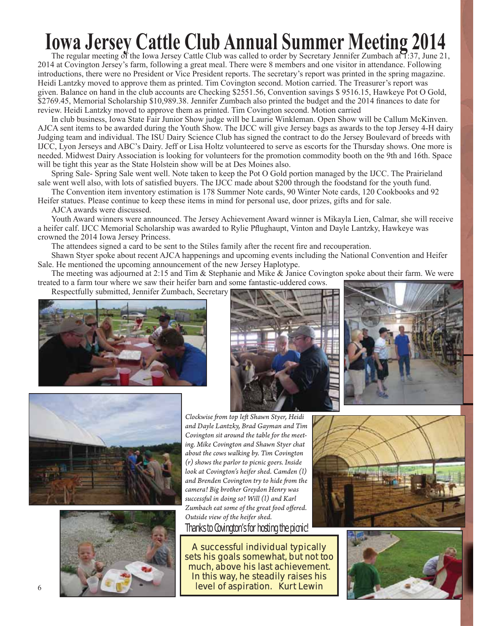## **Iowa Jersey Cattle Club Annual Summer Meeting 2014**

The regular meeting of the Iowa Jersey Cattle Club was called to order by Secretary Jennifer Zumbach at  $\overline{1:}37$ , June 21, 2014 at Covington Jersey's farm, following a great meal. There were 8 members and one visitor in attendance. Following introductions, there were no President or Vice President reports. The secretary's report was printed in the spring magazine. Heidi Lantzky moved to approve them as printed. Tim Covington second. Motion carried. The Treasurer's report was given. Balance on hand in the club accounts are Checking \$2551.56, Convention savings \$ 9516.15, Hawkeye Pot O Gold, \$2769.45, Memorial Scholarship \$10,989.38. Jennifer Zumbach also printed the budget and the 2014 finances to date for review. Heidi Lantzky moved to approve them as printed. Tim Covington second. Motion carried

In club business, Iowa State Fair Junior Show judge will be Laurie Winkleman. Open Show will be Callum McKinven. AJCA sent items to be awarded during the Youth Show. The IJCC will give Jersey bags as awards to the top Jersey 4-H dairy Judging team and individual. The ISU Dairy Science Club has signed the contract to do the Jersey Boulevard of breeds with IJCC, Lyon Jerseys and ABC's Dairy. Jeff or Lisa Holtz volunteered to serve as escorts for the Thursday shows. One more is needed. Midwest Dairy Association is looking for volunteers for the promotion commodity booth on the 9th and 16th. Space will be tight this year as the State Holstein show will be at Des Moines also.

Spring Sale- Spring Sale went well. Note taken to keep the Pot O Gold portion managed by the IJCC. The Prairieland sale went well also, with lots of satisfied buyers. The IJCC made about \$200 through the foodstand for the youth fund.

The Convention item inventory estimation is 178 Summer Note cards, 90 Winter Note cards, 120 Cookbooks and 92 Heifer statues. Please continue to keep these items in mind for personal use, door prizes, gifts and for sale.

AJCA awards were discussed.

Youth Award winners were announced. The Jersey Achievement Award winner is Mikayla Lien, Calmar, she will receive a heifer calf. IJCC Memorial Scholarship was awarded to Rylie Pflughaupt, Vinton and Dayle Lantzky, Hawkeye was crowned the 2014 Iowa Jersey Princess.

The attendees signed a card to be sent to the Stiles family after the recent fire and recouperation.

Shawn Styer spoke about recent AJCA happenings and upcoming events including the National Convention and Heifer Sale. He mentioned the upcoming announcement of the new Jersey Haplotype.

The meeting was adjourned at 2:15 and Tim & Stephanie and Mike & Janice Covington spoke about their farm. We were treated to a farm tour where we saw their heifer barn and some fantastic-uddered cows.

Respectfully submitted, Jennifer Zumbach, Secretary











*Clockwise fr om top left Shawn Styer, Heidi and Dayle Lantzky, Brad Gayman and Tim Covington sit around the table for the meeting. Mike Covington and Shawn Styer chat about the cows walking by. Tim Covington (r) shows the parlor to picnic goers. Inside look at Covington's heifer shed. Camden (l)*  and Brenden Covington try to hide from the *camera! Big brother Greydon Henry was successful in doing so! Will (l) and Karl*  Zumbach eat some of the great food offered. *Outside view of the heifer shed.*  Thanks to Covington's for hosting the picnic!

A successful individual typically sets his goals somewhat, but not too much, above his last achievement. In this way, he steadily raises his level of aspiration. Kurt Lewin



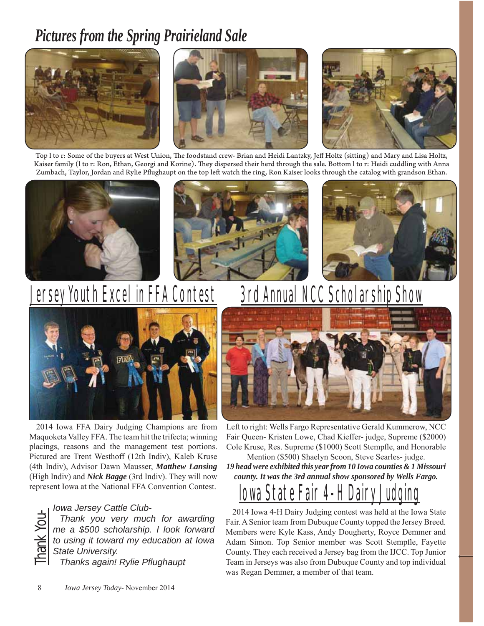### *Pictures from the Spring Prairieland Sale*







Top l to r: Some of the buyers at West Union, The foodstand crew- Brian and Heidi Lantzky, Jeff Holtz (sitting) and Mary and Lisa Holtz, Kaiser family (1 to r: Ron, Ethan, Georgi and Korine). They dispersed their herd through the sale. Bottom 1 to r: Heidi cuddling with Anna Zumbach, Taylor, Jordan and Rylie Pflughaupt on the top left watch the ring, Ron Kaiser looks through the catalog with grandson Ethan.







## **Jersey Youth Excel in FFA Contest**



2014 Iowa FFA Dairy Judging Champions are from Maquoketa Valley FFA. The team hit the trifecta; winning placings, reasons and the management test portions. Pictured are Trent Westhoff (12th Indiv), Kaleb Kruse (4th Indiv), Advisor Dawn Mausser, *Matthew Lansing* (High Indiv) and *Nick Bagge* (3rd Indiv). They will now represent Iowa at the National FFA Convention Contest.

**Thank you very muck thank**<br>
Thank you very muck<br>
me a \$500 scholarship.<br>
to using it toward my ed<br>
State University.<br>
Thanks again! Rylie Pf. *Thank you very much for awarding me a \$500 scholarship. I look forward to using it toward my education at Iowa State University.* 

*Thanks again! Rylie Pfl ughaupt*

## **3rd Annual NCC Scholarship Show**



Left to right: Wells Fargo Representative Gerald Kummerow, NCC Fair Queen- Kristen Lowe, Chad Kieffer- judge, Supreme (\$2000) Cole Kruse, Res. Supreme (\$1000) Scott Stempfle, and Honorable

Mention (\$500) Shaelyn Scoon, Steve Searles- judge. *19 head were exhibited this year from 10 Iowa counties & 1 Missouri county. It was the 3rd annual show sponsored by Wells Fargo.* 

## Iowa State Fair 4-H Dairy Ju

2014 Iowa 4-H Dairy Judging contest was held at the Iowa State Fair. A Senior team from Dubuque County topped the Jersey Breed. Members were Kyle Kass, Andy Dougherty, Royce Demmer and Adam Simon. Top Senior member was Scott Stempfle, Fayette County. They each received a Jersey bag from the IJCC. Top Junior Team in Jerseys was also from Dubuque County and top individual was Regan Demmer, a member of that team.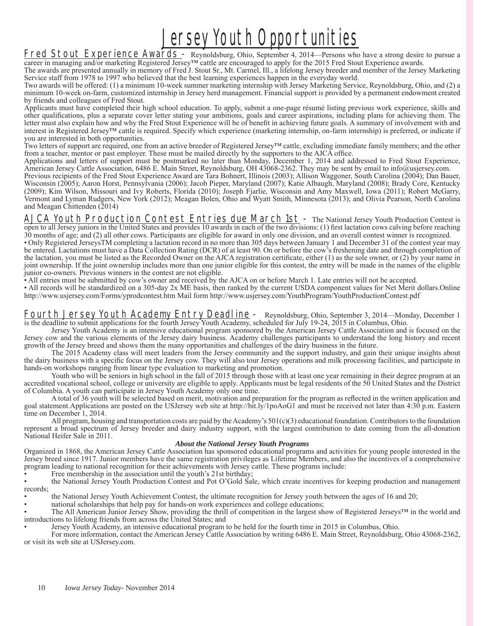## **Jersey Youth Opportunities**

Fred Stout Experience Awards - Reynoldsburg, Ohio, September 4, 2014—Persons who have a strong desire to pursue a career in managing and/or marketing Registered Jersey™ cattle are encouraged to apply for the 2015 Fred Stout Experience awards.

The awards are presented annually in memory of Fred J. Stout Sr., Mt. Carmel, Ill., a lifelong Jersey breeder and member of the Jersey Marketing Service staff from 1978 to 1997 who believed that the best learning experiences happen in the everyday world.

Two awards will be offered: (1) a minimum 10-week summer marketing internship with Jersey Marketing Service, Reynoldsburg, Ohio, and (2) a minimum 10-week on-farm, customized internship in Jersey herd management. Financial support is provided by a permanent endowment created by friends and colleagues of Fred Stout.

Applicants must have completed their high school education. To apply, submit a one-page résumé listing previous work experience, skills and other qualifi cations, plus a separate cover letter stating your ambitions, goals and career aspirations, including plans for achieving them. The letter must also explain how and why the Fred Stout Experience will be of benefit in achieving future goals. A summary of involvement with and interest in Registered Jersey™ cattle is required. Specify which experience (marketing internship, on-farm internship) is preferred, or indicate if you are interested in both opportunities.

Two letters of support are required, one from an active breeder of Registered Jersey™ cattle, excluding immediate family members; and the other from a teacher, mentor or past employer. These must be mailed directly by the supporters to the AJCA office.

Applications and letters of support must be postmarked no later than Monday, December 1, 2014 and addressed to Fred Stout Experience, American Jersey Cattle Association, 6486 E. Main Street, Reynoldsburg, OH 43068-2362. They may be sent by email to info@usjersey.com.

Previous recipients of the Fred Stout Experience Award are Tara Bohnert, Illinois (2003); Allison Waggoner, South Carolina (2004); Dan Bauer, Wisconsin (2005); Aaron Horst, Pennsylvania (2006); Jacob Pieper, Maryland (2007); Katie Albaugh, Maryland (2008); Brady Core, Kentucky (2009); Kim Wilson, Missouri and Ivy Roberts, Florida (2010); Joseph Fjarlie, Wisconsin and Amy Maxwell, Iowa (2011); Robert McGarry, Vermont and Lyman Rudgers, New York (2012); Meagan Bolen, Ohio and Wyatt Smith, Minnesota (2013); and Olivia Pearson, North Carolina and Meagan Chittenden (2014)

AJCA Youth Production Contest Entries due March 1st - The National Jersey Youth Production Contest is open to all Jersey juniors in the United States and provides 10 awards in each of the two divisions: (1) first lactation cows calving before reaching 30 months of age; and (2) all other cows. Participants are eligible for award in only one division, and an overall contest winner is recognized.

• Only Registered JerseysTM completing a lactation record in no more than 305 days between January 1 and December 31 of the contest year may be entered. Lactations must have a Data Collection Rating (DCR) of at least 90. On or before the cow's freshening date and through completion of the lactation, you must be listed as the Recorded Owner on the AJCA registration certificate, either (1) as the sole owner, or (2) by your name in joint ownership. If the joint ownership includes more than one junior eligible for this contest, the entry will be made in the names of the eligible junior co-owners. Previous winners in the contest are not eligible.

• All entries must be submitted by cow's owner and received by the AJCA on or before March 1. Late entries will not be accepted.

• All records will be standardized on a 305-day 2x ME basis, then ranked by the current USDA component values for Net Merit dollars.Online http://www.usjersey.com/Forms/yprodcontest.htm Mail form http://www.usjersey.com/YouthProgram/YouthProductionContest.pdf

Fourth Jersey Youth Academy Entry Deadline - Reynoldsburg, Ohio, September 3, 2014—Monday, December 1 is the deadline to submit applications for the fourth Jersey Youth Academy, scheduled for July 19-24, 2015 in Columbus, Ohio.

 Jersey Youth Academy is an intensive educational program sponsored by the American Jersey Cattle Association and is focused on the Jersey cow and the various elements of the Jersey dairy business. Academy challenges participants to understand the long history and recent growth of the Jersey breed and shows them the many opportunities and challenges of the dairy business in the future.

 The 2015 Academy class will meet leaders from the Jersey community and the support industry, and gain their unique insights about the dairy business with a specific focus on the Jersey cow. They will also tour Jersey operations and milk processing facilities, and participate in hands-on workshops ranging from linear type evaluation to marketing and promotion.

Youth who will be seniors in high school in the fall of 2015 through those with at least one year remaining in their degree program at an accredited vocational school, college or university are eligible to apply. Applicants must be legal residents of the 50 United States and the District of Columbia. A youth can participate in Jersey Youth Academy only one time.

A total of 36 youth will be selected based on merit, motivation and preparation for the program as reflected in the written application and goal statement.Applications are posted on the USJersey web site at http://bit.ly/1poAoG1 and must be received not later than 4:30 p.m. Eastern time on December 1, 2014.

All program, housing and transportation costs are paid by the Academy's  $501(c)(3)$  educational foundation. Contributors to the foundation represent a broad spectrum of Jersey breeder and dairy industry support, with the largest contribution to date coming from the all-donation National Heifer Sale in 2011.

#### *About the National Jersey Youth Programs*

Organized in 1868, the American Jersey Cattle Association has sponsored educational programs and activities for young people interested in the Jersey breed since 1917. Junior members have the same registration privileges as Lifetime Members, and also the incentives of a comprehensive program leading to national recognition for their achievements with Jersey cattle. These programs include:

Free membership in the association until the youth's 21st birthday;

• the National Jersey Youth Production Contest and Pot O'Gold Sale, which create incentives for keeping production and management records;

• the National Jersey Youth Achievement Contest, the ultimate recognition for Jersey youth between the ages of 16 and 20;

• national scholarships that help pay for hands-on work experiences and college educations;

• The All American Junior Jersey Show, providing the thrill of competition in the largest show of Registered Jerseys™ in the world and introductions to lifelong friends from across the United States; and

• Jersey Youth Academy, an intensive educational program to be held for the fourth time in 2015 in Columbus, Ohio.

 For more information, contact the American Jersey Cattle Association by writing 6486 E. Main Street, Reynoldsburg, Ohio 43068-2362, or visit its web site at USJersey.com.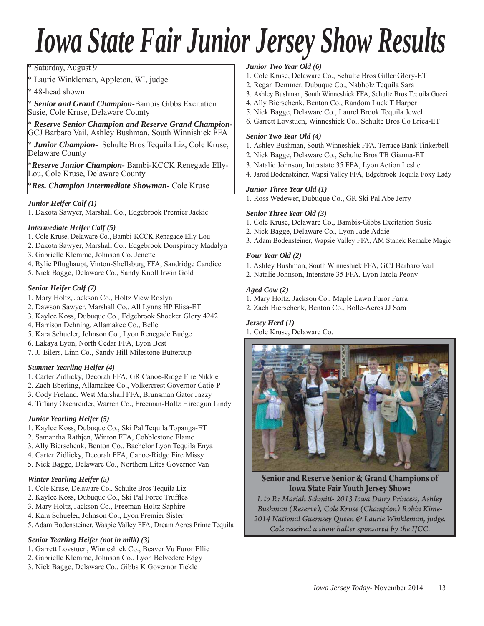## *Iowa State Fair Junior Jersey Show Results*

\* Saturday, August 9

\* Laurie Winkleman, Appleton, WI, judge

48-head shown

\* *Senior and Grand Champion*-Bambis Gibbs Excitation Susie, Cole Kruse, Delaware County

\* *Reserve Senior Champion and Reserve Grand Champion-*GCJ Barbaro Vail, Ashley Bushman, South Winnishiek FFA

\* *Junior Champion-* Schulte Bros Tequila Liz, Cole Kruse, Delaware County

\**Reserve Junior Champion-* Bambi-KCCK Renegade Elly-Lou, Cole Kruse, Delaware County

\**Res. Champion Intermediate Showman-* Cole Kruse

#### *Junior Heifer Calf (1)*

1. Dakota Sawyer, Marshall Co., Edgebrook Premier Jackie

#### *Intermediate Heifer Calf (5)*

- 1. Cole Kruse, Delaware Co., Bambi-KCCK Renagade Elly-Lou
- 2. Dakota Sawyer, Marshall Co., Edgebrook Donspiracy Madalyn
- 3. Gabrielle Klemme, Johnson Co. Jenette
- 4. Rylie Pflughaupt, Vinton-Shellsburg FFA, Sandridge Candice
- 5. Nick Bagge, Delaware Co., Sandy Knoll Irwin Gold

#### *Senior Heifer Calf (7)*

- 1. Mary Holtz, Jackson Co., Holtz View Roslyn
- 2. Dawson Sawyer, Marshall Co., All Lynns HP Elisa-ET
- 3. Kaylee Koss, Dubuque Co., Edgebrook Shocker Glory 4242
- 4. Harrison Dehning, Allamakee Co., Belle
- 5. Kara Schueler, Johnson Co., Lyon Renegade Budge
- 6. Lakaya Lyon, North Cedar FFA, Lyon Best
- 7. JJ Eilers, Linn Co., Sandy Hill Milestone Buttercup

#### *Summer Yearling Heifer (4)*

- 1. Carter Zidlicky, Decorah FFA, GR Canoe-Ridge Fire Nikkie
- 2. Zach Eberling, Allamakee Co., Volkercrest Governor Catie-P
- 3. Cody Freland, West Marshall FFA, Brunsman Gator Jazzy
- 4. Tiffany Oxenreider, Warren Co., Freeman-Holtz Hiredgun Lindy

#### *Junior Yearling Heifer (5)*

- 1. Kaylee Koss, Dubuque Co., Ski Pal Tequila Topanga-ET
- 2. Samantha Rathjen, Winton FFA, Cobblestone Flame
- 3. Ally Bierschenk, Benton Co., Bachelor Lyon Tequila Enya
- 4. Carter Zidlicky, Decorah FFA, Canoe-Ridge Fire Missy
- 5. Nick Bagge, Delaware Co., Northern Lites Governor Van

#### *Winter Yearling Heifer (5)*

- 1. Cole Kruse, Delaware Co., Schulte Bros Tequila Liz
- 2. Kaylee Koss, Dubuque Co., Ski Pal Force Truffles
- 3. Mary Holtz, Jackson Co., Freeman-Holtz Saphire
- 4. Kara Schueler, Johnson Co., Lyon Premier Sister
- 5. Adam Bodensteiner, Waspie Valley FFA, Dream Acres Prime Tequila

#### *Senior Yearling Heifer (not in milk) (3)*

- 1. Garrett Lovstuen, Winneshiek Co., Beaver Vu Furor Ellie
- 2. Gabrielle Klemme, Johnson Co., Lyon Belvedere Edgy
- 3. Nick Bagge, Delaware Co., Gibbs K Governor Tickle

#### *Junior Two Year Old (6)*

- 1. Cole Kruse, Delaware Co., Schulte Bros Giller Glory-ET
- 2. Regan Demmer, Dubuque Co., Nabholz Tequila Sara
- 3. Ashley Bushman, South Winneshiek FFA, Schulte Bros Tequila Gucci
- 4. Ally Bierschenk, Benton Co., Random Luck T Harper
- 5. Nick Bagge, Delaware Co., Laurel Brook Tequila Jewel
- 6. Garrett Lovstuen, Winneshiek Co., Schulte Bros Co Erica-ET

#### *Senior Two Year Old (4)*

- 1. Ashley Bushman, South Winneshiek FFA, Terrace Bank Tinkerbell
- 2. Nick Bagge, Delaware Co., Schulte Bros TB Gianna-ET
- 3. Natalie Johnson, Interstate 35 FFA, Lyon Action Leslie
- 4. Jarod Bodensteiner, Wapsi Valley FFA, Edgebrook Tequila Foxy Lady

#### *Junior Three Year Old (1)*

1. Ross Wedewer, Dubuque Co., GR Ski Pal Abe Jerry

#### *Senior Three Year Old (3)*

- 1. Cole Kruse, Delaware Co., Bambis-Gibbs Excitation Susie
- 2. Nick Bagge, Delaware Co., Lyon Jade Addie
- 3. Adam Bodensteiner, Wapsie Valley FFA, AM Stanek Remake Magic

#### *Four Year Old (2)*

- 1. Ashley Bushman, South Winneshiek FFA, GCJ Barbaro Vail
- 2. Natalie Johnson, Interstate 35 FFA, Lyon Iatola Peony

#### *Aged Cow (2)*

- 1. Mary Holtz, Jackson Co., Maple Lawn Furor Farra
- 2. Zach Bierschenk, Benton Co., Bolle-Acres JJ Sara

#### *Jersey Herd (1)*

1. Cole Kruse, Delaware Co.



**Senior and Reserve Senior & Grand Champions of** 

**Iowa State Fair Youth Jersey Show:** *L to R: Mariah Schmitt - 2013 Iowa Dairy Princess, Ashley Bushman (Reserve), Cole Kruse (Champion) Robin Kime-2014 National Guernsey Queen & Laurie Winkleman, judge. Cole received a show halter sponsored by the IJCC.*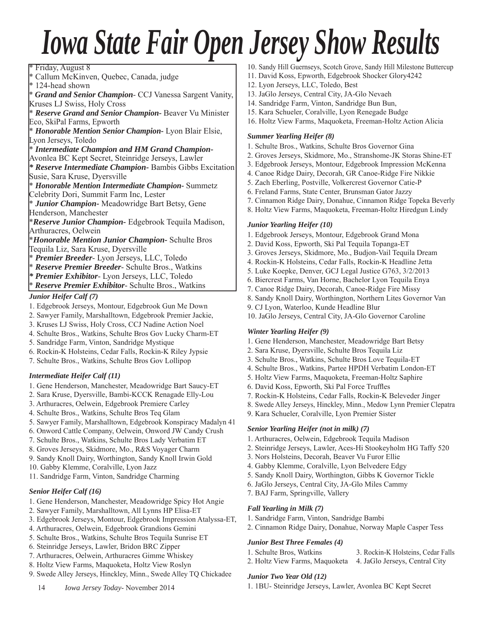## *Iowa State Fair Open Jersey Show Results*

\* Friday, August 8 \* Callum McKinven, Quebec, Canada, judge \* 124-head shown \* *Grand and Senior Champion*- CCJ Vanessa Sargent Vanity, Kruses LJ Swiss, Holy Cross \* *Reserve Grand and Senior Champion-* Beaver Vu Minister Eco, SkiPal Farms, Epworth \* *Honorable Mention Senior Champion-* Lyon Blair Elsie, Lyon Jerseys, Toledo \* *Intermediate Champion and HM Grand Champion-*Avonlea BC Kept Secret, Steinridge Jerseys, Lawler *\* Reserve Intermediate Champion-* Bambis Gibbs Excitation Susie, Sara Kruse, Dyersville \* *Honorable Mention Intermediate Champion-* Summetz Celebrity Dori, Summit Farm Inc, Lester \* *Junior Champion-* Meadowridge Bart Betsy, Gene Henderson, Manchester \**Reserve Junior Champion-* Edgebrook Tequila Madison, Arthuracres, Oelwein \**Honorable Mention Junior Champion-* Schulte Bros Tequila Liz, Sara Kruse, Dyersville \* *Premier Breeder*- Lyon Jerseys, LLC, Toledo

- \* *Reserve Premier Breeder* Schulte Bros., Watkins
- *\* Premier Exhibitor* Lyon Jerseys, LLC, Toledo
- \* *Reserve Premier Exhibitor* Schulte Bros., Watkins

*Junior Heifer Calf (7)*

- 1. Edgebrook Jerseys, Montour, Edgebrook Gun Me Down
- 2. Sawyer Family, Marshalltown, Edgebrook Premier Jackie,
- 3. Kruses LJ Swiss, Holy Cross, CCJ Nadine Action Noel
- 4. Schulte Bros., Watkins, Schulte Bros Gov Lucky Charm-ET
- 5. Sandridge Farm, Vinton, Sandridge Mystique
- 6. Rockin-K Holsteins, Cedar Falls, Rockin-K Riley Jypsie
- 7. Schulte Bros., Watkins, Schulte Bros Gov Lollipop

#### *Intermediate Heifer Calf (11)*

- 1. Gene Henderson, Manchester, Meadowridge Bart Saucy-ET
- 2. Sara Kruse, Dyersville, Bambi-KCCK Renagade Elly-Lou
- 3. Arthuracres, Oelwein, Edgebrook Premiere Carley
- 4. Schulte Bros., Watkins, Schulte Bros Teq Glam
- 5. Sawyer Family, Marshalltown, Edgebrook Konspiracy Madalyn 41
- 6. Onword Cattle Company, Oelwein, Onword JW Candy Crush
- 7. Schulte Bros., Watkins, Schulte Bros Lady Verbatim ET
- 8. Groves Jerseys, Skidmore, Mo., R&S Voyager Charm
- 9. Sandy Knoll Dairy, Worthington, Sandy Knoll Irwin Gold
- 10. Gabby Klemme, Coralville, Lyon Jazz
- 11. Sandridge Farm, Vinton, Sandridge Charming

#### *Senior Heifer Calf (16)*

- 1. Gene Henderson, Manchester, Meadowridge Spicy Hot Angie
- 2. Sawyer Family, Marshalltown, All Lynns HP Elisa-ET
- 3. Edgebrook Jerseys, Montour, Edgebrook Impression Atalyssa-ET,
- 4. Arthuracres, Oelwein, Edgebrook Grandions Gemini
- 5. Schulte Bros., Watkins, Schulte Bros Tequila Sunrise ET
- 6. Steinridge Jerseys, Lawler, Bridon BRC Zipper
- 7. Arthuracres, Oelwein, Arthuracres Gimme Whiskey
- 8. Holtz View Farms, Maquoketa, Holtz View Roslyn
- 9. Swede Alley Jerseys, Hinckley, Minn., Swede Alley TQ Chickadee
- 10. Sandy Hill Guernseys, Scotch Grove, Sandy Hill Milestone Buttercup
- 11. David Koss, Epworth, Edgebrook Shocker Glory4242
- 12. Lyon Jerseys, LLC, Toledo, Best
- 13. JaGlo Jerseys, Central City, JA-Glo Nevaeh
- 14. Sandridge Farm, Vinton, Sandridge Bun Bun,
- 15. Kara Schueler, Coralville, Lyon Renegade Budge
- 16. Holtz View Farms, Maquoketa, Freeman-Holtz Action Alicia

#### *Summer Yearling Heifer (8)*

- 1. Schulte Bros., Watkins, Schulte Bros Governor Gina
- 2. Groves Jerseys, Skidmore, Mo., Stranshome-JK Storas Shine-ET
- 3. Edgebrook Jerseys, Montour, Edgebrook Impression McKenna
- 4. Canoe Ridge Dairy, Decorah, GR Canoe-Ridge Fire Nikkie
- 5. Zach Eberling, Postville, Volkercrest Governor Catie-P
- 6. Freland Farms, State Center, Brunsman Gator Jazzy
- 7. Cinnamon Ridge Dairy, Donahue, Cinnamon Ridge Topeka Beverly
- 8. Holtz View Farms, Maquoketa, Freeman-Holtz Hiredgun Lindy

#### *Junior Yearling Heifer (10)*

- 1. Edgebrook Jerseys, Montour, Edgebrook Grand Mona
- 2. David Koss, Epworth, Ski Pal Tequila Topanga-ET
- 3. Groves Jerseys, Skidmore, Mo., Budjon-Vail Tequila Dream
- 4. Rockin-K Holsteins, Cedar Falls, Rockin-K Headline Jetta
- 5. Luke Koepke, Denver, GCJ Legal Justice G763, 3/2/2013
- 6. Biercrest Farms, Van Horne, Bachelor Lyon Tequila Enya
- 7. Canoe Ridge Dairy, Decorah, Canoe-Ridge Fire Missy
- 8. Sandy Knoll Dairy, Worthington, Northern Lites Governor Van
- 9. CJ Lyon, Waterloo, Kunde Headline Blur
- 10. JaGlo Jerseys, Central City, JA-Glo Governor Caroline

#### *Winter Yearling Heifer (9)*

- 1. Gene Henderson, Manchester, Meadowridge Bart Betsy
- 2. Sara Kruse, Dyersville, Schulte Bros Tequila Liz
- 3. Schulte Bros., Watkins, Schulte Bros Love Tequila-ET
- 4. Schulte Bros., Watkins, Partee HPDH Verbatim London-ET
- 5. Holtz View Farms, Maquoketa, Freeman-Holtz Saphire
- 6. David Koss, Epworth, Ski Pal Force Truffles
- 7. Rockin-K Holsteins, Cedar Falls, Rockin-K Beleveder Jinger
- 8. Swede Alley Jerseys, Hinckley, Minn., Medow Lynn Premier Clepatra
- 9. Kara Schueler, Coralville, Lyon Premier Sister

#### *Senior Yearling Heifer (not in milk) (7)*

- 1. Arthuracres, Oelwein, Edgebrook Tequila Madison
- 2. Steinridge Jerseys, Lawler, Aces-Hi Stookeyholm HG Taffy 520
- 3. Nors Holsteins, Decorah, Beaver Vu Furor Ellie
- 4. Gabby Klemme, Coralville, Lyon Belvedere Edgy
- 5. Sandy Knoll Dairy, Worthington, Gibbs K Governor Tickle
- 6. JaGlo Jerseys, Central City, JA-Glo Miles Cammy
- 7. BAJ Farm, Springville, Vallery

#### *Fall Yearling in Milk (7)*

- 1. Sandridge Farm, Vinton, Sandridge Bambi
- 2. Cinnamon Ridge Dairy, Donahue, Norway Maple Casper Tess

#### *Junior Best Three Females (4)*

- 
- 1. Schulte Bros, Watkins 3. Rockin-K Holsteins, Cedar Falls
- 2. Holtz View Farms, Maquoketa 4. JaGlo Jerseys, Central City

#### *Junior Two Year Old (12)*

1. 1BU- Steinridge Jerseys, Lawler, Avonlea BC Kept Secret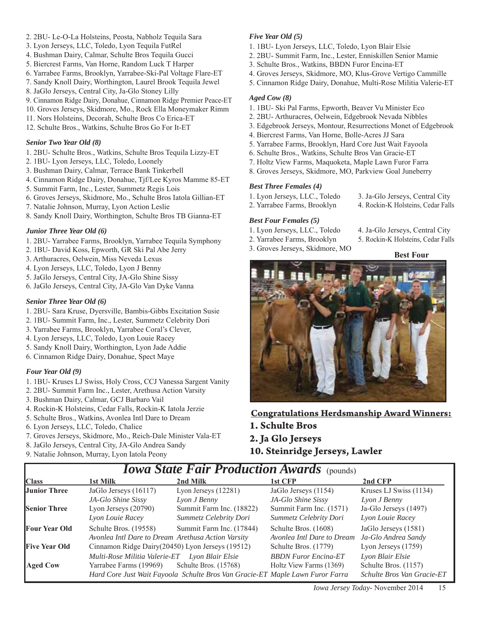- 2. 2BU- Le-O-La Holsteins, Peosta, Nabholz Tequila Sara
- 3. Lyon Jerseys, LLC, Toledo, Lyon Tequila FutRel
- 4. Bushman Dairy, Calmar, Schulte Bros Tequila Gucci
- 5. Biercrest Farms, Van Horne, Random Luck T Harper
- 6. Yarrabee Farms, Brooklyn, Yarrabee-Ski-Pal Voltage Flare-ET
- 7. Sandy Knoll Dairy, Worthington, Laurel Brook Tequila Jewel
- 8. JaGlo Jerseys, Central City, Ja-Glo Stoney Lilly
- 9. Cinnamon Ridge Dairy, Donahue, Cinnamon Ridge Premier Peace-ET
- 10. Groves Jerseys, Skidmore, Mo., Rock Ella Moneymaker Rimm
- 11. Nors Holsteins, Decorah, Schulte Bros Co Erica-ET
- 12. Schulte Bros., Watkins, Schulte Bros Go For It-ET

#### *Senior Two Year Old (8)*

- 1. 2BU- Schulte Bros., Watkins, Schulte Bros Tequila Lizzy-ET
- 2. 1BU- Lyon Jerseys, LLC, Toledo, Loonely
- 3. Bushman Dairy, Calmar, Terrace Bank Tinkerbell
- 4. Cinnamon Ridge Dairy, Donahue, Tjf/Lee Kyros Mamme 85-ET
- 5. Summit Farm, Inc., Lester, Summetz Regis Lois
- 6. Groves Jerseys, Skidmore, Mo., Schulte Bros Iatola Gillian-ET
- 7. Natalie Johnson, Murray, Lyon Action Leslie
- 8. Sandy Knoll Dairy, Worthington, Schulte Bros TB Gianna-ET

#### *Junior Three Year Old (6)*

- 1. 2BU- Yarrabee Farms, Brooklyn, Yarrabee Tequila Symphony
- 2. 1BU- David Koss, Epworth, GR Ski Pal Abe Jerry
- 3. Arthuracres, Oelwein, Miss Neveda Lexus
- 4. Lyon Jerseys, LLC, Toledo, Lyon J Benny
- 5. JaGlo Jerseys, Central City, JA-Glo Shine Sissy
- 6. JaGlo Jerseys, Central City, JA-Glo Van Dyke Vanna

#### *Senior Three Year Old (6)*

- 1. 2BU- Sara Kruse, Dyersville, Bambis-Gibbs Excitation Susie
- 2. 1BU- Summit Farm, Inc., Lester, Summetz Celebrity Dori
- 3. Yarrabee Farms, Brooklyn, Yarrabee Coral's Clever,
- 4. Lyon Jerseys, LLC, Toledo, Lyon Louie Racey
- 5. Sandy Knoll Dairy, Worthington, Lyon Jade Addie
- 6. Cinnamon Ridge Dairy, Donahue, Spect Maye

#### *Four Year Old (9)*

- 1. 1BU- Kruses LJ Swiss, Holy Cross, CCJ Vanessa Sargent Vanity
- 2. 2BU- Summit Farm Inc., Lester, Arethusa Action Varsity
- 3. Bushman Dairy, Calmar, GCJ Barbaro Vail
- 4. Rockin-K Holsteins, Cedar Falls, Rockin-K Iatola Jerzie
- 5. Schulte Bros., Watkins, Avonlea Intl Dare to Dream
- 6. Lyon Jerseys, LLC, Toledo, Chalice
- 7. Groves Jerseys, Skidmore, Mo., Reich-Dale Minister Vala-ET
- 8. JaGlo Jerseys, Central City, JA-Glo Andrea Sandy
- 9. Natalie Johnson, Murray, Lyon Iatola Peony

#### *Five Year Old (5)*

- 1. 1BU- Lyon Jerseys, LLC, Toledo, Lyon Blair Elsie
- 2. 2BU- Summit Farm, Inc., Lester, Enniskillen Senior Mamie
- 3. Schulte Bros., Watkins, BBDN Furor Encina-ET
- 4. Groves Jerseys, Skidmore, MO, Klus-Grove Vertigo Cammille
- 5. Cinnamon Ridge Dairy, Donahue, Multi-Rose Militia Valerie-ET

#### *Aged Cow (8)*

- 1. 1BU- Ski Pal Farms, Epworth, Beaver Vu Minister Eco
- 2. 2BU- Arthuracres, Oelwein, Edgebrook Nevada Nibbles
- 3. Edgebrook Jerseys, Montour, Resurrections Monet of Edgebrook
- 4. Biercrest Farms, Van Horne, Bolle-Acres JJ Sara
- 5. Yarrabee Farms, Brooklyn, Hard Core Just Wait Fayoola
- 6. Schulte Bros., Watkins, Schulte Bros Van Gracie-ET
- 7. Holtz View Farms, Maquoketa, Maple Lawn Furor Farra
- 8. Groves Jerseys, Skidmore, MO, Parkview Goal Juneberry

#### *Best Three Females (4)*

- 1. Lyon Jerseys, LLC., Toledo 3. Ja-Glo Jerseys, Central City
- 2. Yarrabee Farms, Brooklyn 4. Rockin-K Holsteins, Cedar Falls

#### *Best Four Females (5)*

- 
- 2. Yarrabee Farms, Brooklyn 5. Rockin-K Holsteins, Cedar Falls
- 3. Groves Jerseys, Skidmore, MO
- 1. Lyon Jerseys, LLC., Toledo 4. Ja-Glo Jerseys, Central City
	-

#### **Best Four**



**Congratulations Herdsmanship Award Winners: 1. Schulte Bros**

#### **2. Ja Glo Jerseys**

**10. Steinridge Jerseys, Lawler** 

| 1st Milk               | 2nd Milk                 | 1st CFP                                                                                                                                 | 2nd CFP                                                                       |
|------------------------|--------------------------|-----------------------------------------------------------------------------------------------------------------------------------------|-------------------------------------------------------------------------------|
| JaGlo Jerseys (16117)  | Lyon Jerseys $(12281)$   | JaGlo Jerseys (1154)                                                                                                                    | Kruses LJ Swiss (1134)                                                        |
| JA-Glo Shine Sissy     | Lyon J Benny             | JA-Glo Shine Sissy                                                                                                                      | Lyon J Benny                                                                  |
| Lyon Jerseys $(20790)$ | Summit Farm Inc. (18822) | Summit Farm Inc. (1571)                                                                                                                 | Ja-Glo Jerseys (1497)                                                         |
| Lyon Louie Racey       | Summetz Celebrity Dori   | Summetz Celebrity Dori                                                                                                                  | Lyon Louie Racey                                                              |
| Schulte Bros. (19558)  | Summit Farm Inc. (17844) | Schulte Bros. (1608)                                                                                                                    | JaGlo Jerseys (1581)                                                          |
|                        |                          | Avonlea Intl Dare to Dream                                                                                                              | Ja-Glo Andrea Sandy                                                           |
|                        |                          | Schulte Bros. (1779)                                                                                                                    | Lyon Jerseys (1759)                                                           |
|                        | Lyon Blair Elsie         | <b>BBDN</b> Furor Encina-ET                                                                                                             | Lyon Blair Elsie                                                              |
| Yarrabee Farms (19969) | Schulte Bros. (15768)    | Holtz View Farms (1369)                                                                                                                 | Schulte Bros. (1157)                                                          |
|                        |                          |                                                                                                                                         | Schulte Bros Van Gracie-ET                                                    |
|                        |                          | Avonlea Intl Dare to Dream Arethusa Action Varsity<br>Cinnamon Ridge Dairy(20450) Lyon Jerseys (19512)<br>Multi-Rose Militia Valerie-ET | Hard Core Just Wait Fayoola Schulte Bros Van Gracie-ET Maple Lawn Furor Farra |

*Iowa State Fair Production Awards* (pounds)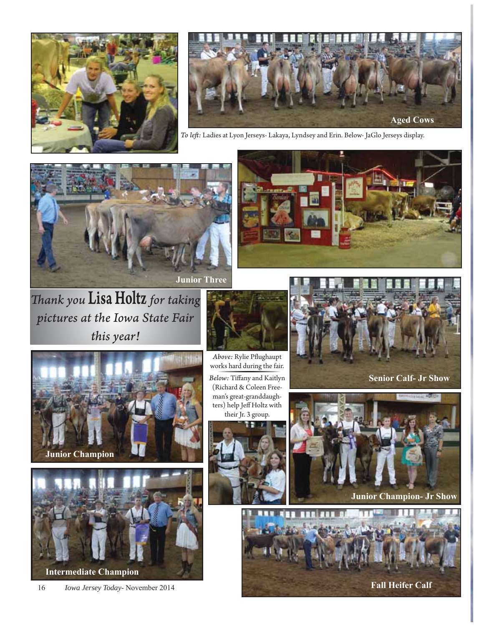



*To left :* Ladies at Lyon Jerseys- Lakaya, Lyndsey and Erin. Below- JaGlo Jerseys display.





*Th ank you* Lisa Holtz *for taking pictures at the Iowa State Fair this year!*



works hard during the fair. **Below:** Tiffany and Kaitlyn (Richard & Coleen Freeman's great-granddaughters) help Jeff Holtz with their Jr. 3 group.







**Junior Champion- Jr Show**







**Intermediate Champion**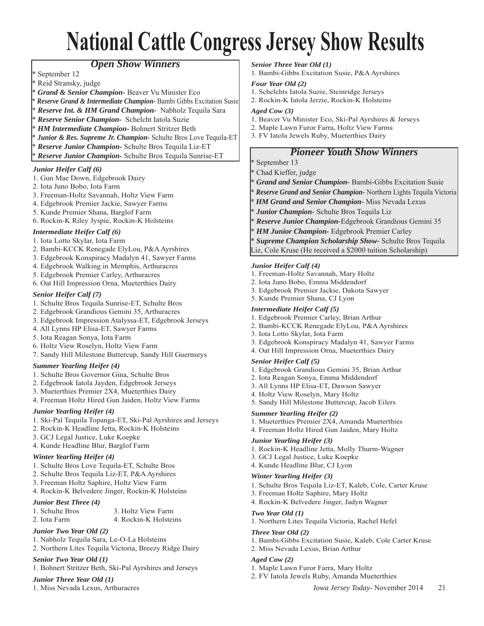## **National Cattle Congress Jersey Show Results**

#### *Open Show Winners*

- September 12
- Reid Stransky, judge
- \* *Grand & Senior Champion-* Beaver Vu Minister Eco
- \* *Reserve Grand & Intermediate Champion-* Bambi Gibbs Excitation Susie
- \* *Reserve Int. & HM Grand Champion-* Nabholz Tequila Sara
- \* *Reserve Senior Champion-* Schelcht Iatola Suzie
- \* *HM Intermediate Champion-* Bohnert Stritzer Beth
- *Junior & Res. Supreme Jr. Champion-* Schulte Bros Love Tequila-ET
- \* *Reserve Junior Champion-* Schulte Bros Tequila Liz-ET

\* *Reserve Junior Champion-* Schulte Bros Tequila Sunrise-ET

#### *Junior Heifer Calf (6)*

- 1. Gun Mae Down, Edgebrook Dairy
- 2. Iota Juno Bobo, Iota Farm
- 3. Freeman-Holtz Savannah, Holtz View Farm
- 4. Edgebrook Premier Jackie, Sawyer Farms
- 5. Kunde Premier Shana, Barglof Farm
- 6. Rockin-K Riley Jyspie, Rockin-K Holsteins

#### *Intermediate Heifer Calf (6)*

- 1. Iota Lotto Skylar, Iota Farm
- 2. Bambi-KCCK Renegade ElyLou, P&A Ayrshires
- 3. Edgebrook Konspiracy Madalyn 41, Sawyer Farms
- 4. Edgebrook Walking in Memphis, Arthuracres
- 5. Edgebrook Premier Carley, Arthuracres
- 6. Oat Hill Impression Orna, Mueterthies Dairy

#### *Senior Heifer Calf (7)*

- 1. Schulte Bros Tequila Sunrise-ET, Schulte Bros
- 2. Edgebrook Grandious Gemini 35, Arthuracres
- 3. Edgebrook Impression Atalyssa-ET, Edgebrook Jerseys
- 4. All Lynns HP Elisa-ET, Sawyer Farms
- 5. Iota Reagan Sonya, Iota Farm
- 6. Holtz View Roselyn, Holtz View Farm
- 7. Sandy Hill Milestone Buttercup, Sandy Hill Guernseys

#### *Summer Yearling Heifer (4)*

- 1. Schulte Bros Governor Gina, Schulte Bros
- 2. Edgebrook Iatola Jayden, Edgebrook Jerseys
- 3. Mueterthies Premier 2X4, Mueterthies Dairy
- 4. Freeman Holtz Hired Gun Jaiden, Holtz View Farms

#### *Junior Yearling Heifer (4)*

- 1. Ski-Pal Tequila Topanga-ET, Ski-Pal Ayrshires and Jerseys
- 2. Rockin-K Headline Jetta, Rockin-K Holsteins
- 3. GCJ Legal Justice, Luke Koepke
- 4. Kunde Headline Blur, Barglof Farm

#### *Winter Yearling Heifer (4)*

- 1. Schulte Bros Love Tequila-ET, Schulte Bros
- 2. Schulte Bros Tequila Liz-ET, P&A Ayrshires
- 3. Freeman Holtz Saphire, Holtz View Farm
- 4. Rockin-K Belvedere Jinger, Rockin-K Holsteins

#### *Junior Best Three (4)*

- 1. Schulte Bros 3. Holtz View Farm
- 2. Iota Farm 4. Rockin-K Holsteins

#### *Junior Two Year Old (2)*

- 1. Nabholz Tequila Sara, Le-O-La Holsteins
- 2. Northern Lites Tequila Victoria, Breezy Ridge Dairy

#### *Senior Two Year Old (1)*

1. Bohnert Stritzer Beth, Ski-Pal Ayrshires and Jerseys

#### *Junior Three Year Old (1)*

1. Miss Nevada Lexus, Arthuracres

#### *Senior Three Year Old (1)*

1. Bambi-Gibbs Excitation Susie, P&A Ayrshires

#### *Four Year Old (2)*

- 1. Schelchts Iatola Suzie, Steinridge Jerseys
- 2. Rockin-K Iatola Jerzie, Rockin-K Holsteins

#### *Aged Cow (3)*

- 1. Beaver Vu Minister Eco, Ski-Pal Ayrshires & Jerseys
- 2. Maple Lawn Furor Farra, Holtz View Farms
- 3. FV Iatola Jewels Ruby, Mueterthies Dairy

#### *Pioneer Youth Show Winners*

#### \* September 13

- \* Chad Kieffer, judge
- \* *Grand and Senior Champion-* Bambi-Gibbs Excitation Susie
- \* *Reserve Grand and Senior Champion-* Northern Lights Tequila Victoria
- \* *HM Grand and Senior Champion-* Miss Nevada Lexus
- \* *Junior Champion-* Schulte Bros Tequila Liz
- \* *Reserve Junior Champion-*Edgebrook Grandious Gemini 35
- \* *HM Junior Champion-* Edgebrook Premier Carley
- \* *Supreme Champion Scholarship Show-* Schulte Bros Tequila
- Liz, Cole Kruse (He received a \$2000 tuition Scholarship)

#### *Junior Heifer Calf (4)*

- 1. Freeman-Holtz Savannah, Mary Holtz
- 2. Iota Juno Bobo, Emma Middendorf
- 3. Edgebrook Premier Jackie, Dakota Sawyer
- 5. Kunde Premier Shana, CJ Lyon

#### *Intermediate Heifer Calf (5)*

- 1. Edgebrook Premier Carley, Brian Arthur
- 2. Bambi-KCCK Renegade ElyLou, P&A Ayrshires
- 3. Iota Lotto Skylar, Iota Farm
- 3. Edgebrook Konspiracy Madalyn 41, Sawyer Farms
- 4. Oat Hill Impression Orna, Mueterthies Dairy

#### *Senior Heifer Calf (5)*

- 1. Edgebrook Grandious Gemini 35, Brian Arthur
- 2. Iota Reagan Sonya, Emma Middendorf
- 3. All Lynns HP Elisa-ET, Dawson Sawyer
- 4. Holtz View Roselyn, Mary Holtz

3. GCJ Legal Justice, Luke Koepke 4. Kunde Headline Blur, CJ Lyon *Winter Yearling Heifer (3)*

3. Freeman Holtz Saphire, Mary Holtz 4. Rockin-K Belvedere Jinger, Jadyn Wagner

2. Miss Nevada Lexus, Brian Arthur

1. Maple Lawn Furor Farra, Mary Holtz 2. FV Iatola Jewels Ruby, Amanda Mueterthies

5. Sandy Hill Milestone Buttercup, Jacob Eilers

#### *Summer Yearling Heifer (2)*

- 1. Mueterthies Premier 2X4, Amanda Mueterthies
- 4. Freeman Holtz Hired Gun Jaiden, Mary Holtz

1. Rockin-K Headline Jetta, Molly Thurm-Wagner

1. Northern Lites Tequila Victoria, Rachel Hefel

1. Schulte Bros Tequila Liz-ET, Kaleb, Cole, Carter Kruse

1. Bambi-Gibbs Excitation Susie, Kaleb, Cole Carter Kruse

*Iowa Jersey Today*- November 2014 21

#### *Junior Yearling Heifer (3)*

*Two Year Old (1)*

*Three Year Old (2)*

*Aged Cow (2)*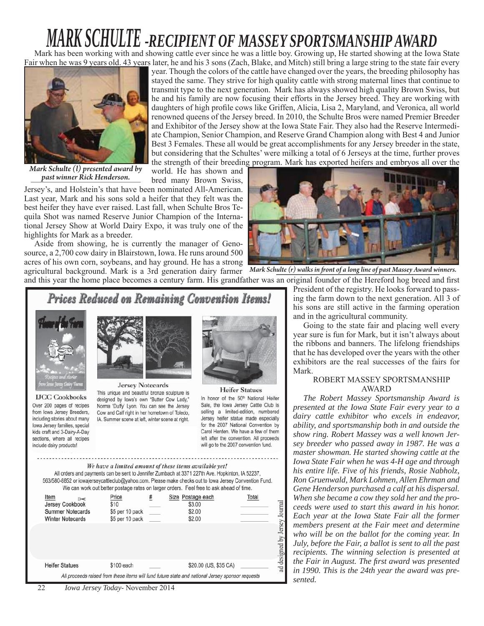## *MARK SCHULTE -RECIPIENT OF MASSEY SPORTSMANSHIP AWARD*

Mark has been working with and showing cattle ever since he was a little boy. Growing up, He started showing at the Iowa State Fair when he was 9 years old. 43 years later, he and his 3 sons (Zach, Blake, and Mitch) still bring a large string to the state fair every



year. Though the colors of the cattle have changed over the years, the breeding philosophy has stayed the same. They strive for high quality cattle with strong maternal lines that continue to transmit type to the next generation. Mark has always showed high quality Brown Swiss, but he and his family are now focusing their efforts in the Jersey breed. They are working with daughters of high profile cows like Griffen, Alicia, Lisa 2, Maryland, and Veronica, all world renowned queens of the Jersey breed. In 2010, the Schulte Bros were named Premier Breeder and Exhibitor of the Jersey show at the Iowa State Fair. They also had the Reserve Intermediate Champion, Senior Champion, and Reserve Grand Champion along with Best 4 and Junior Best 3 Females. These all would be great accomplishments for any Jersey breeder in the state, but considering that the Schultes' were milking a total of 6 Jerseys at the time, further proves the strength of their breeding program. Mark has exported heifers and embryos all over the

*Mark Schulte (l) presented award by past winner Rick Henderson.*

world. He has shown and bred many Brown Swiss,

Jersey's, and Holstein's that have been nominated All-American. Last year, Mark and his sons sold a heifer that they felt was the best heifer they have ever raised. Last fall, when Schulte Bros Tequila Shot was named Reserve Junior Champion of the International Jersey Show at World Dairy Expo, it was truly one of the highlights for Mark as a breeder.

Aside from showing, he is currently the manager of Genosource, a 2,700 cow dairy in Blairstown, Iowa. He runs around 500 acres of his own corn, soybeans, and hay ground. He has a strong

agricultural background. Mark is a 3rd generation dairy farmer Mark Schulte (r) walks in front of a long line of past Massey Award winners. and this year the home place becomes a century farm. His grandfather was an original founder of the Hereford hog breed and first

ad designed by Jersey Journal



President of the registry. He looks forward to passing the farm down to the next generation. All 3 of his sons are still active in the farming operation and in the agricultural community.

Going to the state fair and placing well every year sure is fun for Mark, but it isn't always about the ribbons and banners. The lifelong friendships that he has developed over the years with the other exhibitors are the real successes of the fairs for Mark.

#### ROBERT MASSEY SPORTSMANSHIP AWARD

*The Robert Massey Sportsmanship Award is presented at the Iowa State Fair every year to a dairy cattle exhibitor who excels in endeavor, ability, and sportsmanship both in and outside the show ring. Robert Massey was a well known Jersey breeder who passed away in 1987. He was a master showman. He started showing cattle at the Iowa State Fair when he was 4-H age and through his entire life. Five of his friends, Rosie Nabholz, Ron Gruenwald, Mark Lohmen, Allen Ehrman and Gene Henderson purchased a calf at his dispersal. When she became a cow they sold her and the proceeds were used to start this award in his honor. Each year at the Iowa State Fair all the former members present at the Fair meet and determine who will be on the ballot for the coming year. In July, before the Fair, a ballot is sent to all the past recipients. The winning selection is presented at the Fair in August. The first award was presented in 1990. This is the 24th year the award was presented.*

| Jersey Cookbook<br><b>Summer Notecards</b><br><b>Winter Notecards</b>                            | \$10<br>\$5 per 10 pack<br>\$5 per 10 pack |  | \$3.00<br>\$2.00<br>\$2.00 |  |  |  |
|--------------------------------------------------------------------------------------------------|--------------------------------------------|--|----------------------------|--|--|--|
| <b>Heifer Statues</b>                                                                            | \$100 each                                 |  | \$20.00 (US, \$35 CA)      |  |  |  |
| All proceeds raised from these items will fund future state and national Jersey sponsor requests |                                            |  |                            |  |  |  |

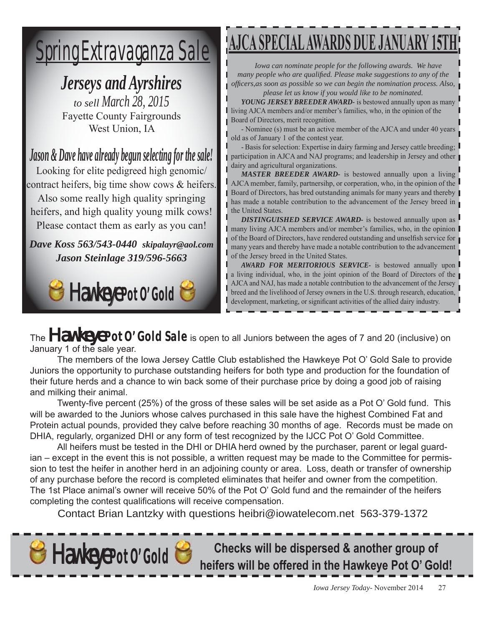## Spring Extravaganza Sale

## *Jerseys and Ayrshires*

*to sell March 28, 2015* Fayette County Fairgrounds West Union, IA

*Jason & Dave have already begun selecting for the sale!*

Looking for elite pedigreed high genomic/ contract heifers, big time show cows & heifers. Also some really high quality springing

heifers, and high quality young milk cows! Please contact them as early as you can!

*Dave Koss 563/543-0440 skipalayr@aol.com Jason Steinlage 319/596-5663*

## **Hawkeye Pot O' Gold**

## **AJCA SPECIAL AWARDS DUE JANUARY**

*Iowa can nominate people for the following awards. We have many people who are qualified. Please make suggestions to any of the offi cers,as soon as possible so we can begin the nomination process. Also, please let us know if you would like to be nominated.*

*YOUNG JERSEY BREEDER AWARD-* is bestowed annually upon as many living AJCA members and/or member's families, who, in the opinion of the Board of Directors, merit recognition.

- Nominee (s) must be an active member of the AJCA and under 40 years old as of January 1 of the contest year.

- Basis for selection: Expertise in dairy farming and Jersey cattle breeding; participation in AJCA and NAJ programs; and leadership in Jersey and other dairy and agricultural organizations.

*MASTER BREEDER AWARD-* is bestowed annually upon a living AJCA member, family, partnersihp, or corperation, who, in the opinion of the Board of Directors, has bred outstanding animals for many years and thereby has made a notable contribution to the advancement of the Jersey breed in the United States.

*DISTINGUISHED SERVICE AWARD-* is bestowed annually upon as many living AJCA members and/or member's families, who, in the opinion of the Board of Directors, have rendered outstanding and unselfish service for many years and thereby have made a notable contribution to the advancement of the Jersey breed in the United States.

*AWARD FOR MERITORIOUS SERVICE-* is bestowed annually upon a living individual, who, in the joint opinion of the Board of Directors of the AJCA and NAJ, has made a notable contribution to the advancement of the Jersey breed and the livelihood of Jersey owners in the U.S. through research, education, development, marketing, or significant activities of the allied dairy industry.

The **Hawkeye Pot 0' Gold Sale** is open to all Juniors between the ages of 7 and 20 (inclusive) on January 1 of the sale year.

 The members of the Iowa Jersey Cattle Club established the Hawkeye Pot O' Gold Sale to provide Juniors the opportunity to purchase outstanding heifers for both type and production for the foundation of their future herds and a chance to win back some of their purchase price by doing a good job of raising and milking their animal.

Twenty-five percent (25%) of the gross of these sales will be set aside as a Pot O' Gold fund. This will be awarded to the Juniors whose calves purchased in this sale have the highest Combined Fat and Protein actual pounds, provided they calve before reaching 30 months of age. Records must be made on DHIA, regularly, organized DHI or any form of test recognized by the IJCC Pot O' Gold Committee.

 All heifers must be tested in the DHI or DHIA herd owned by the purchaser, parent or legal guardian – except in the event this is not possible, a written request may be made to the Committee for permission to test the heifer in another herd in an adjoining county or area. Loss, death or transfer of ownership of any purchase before the record is completed eliminates that heifer and owner from the competition. The 1st Place animal's owner will receive 50% of the Pot O' Gold fund and the remainder of the heifers completing the contest qualifications will receive compensation.

Contact Brian Lantzky with questions heibri@iowatelecom.net 563-379-1372



**Hawkeye Pot 0' Gold Consumers Will be dispersed & another group of anally Checks will be dispersed & another group of anally respect to the Hawkeye Pot O' Gold!**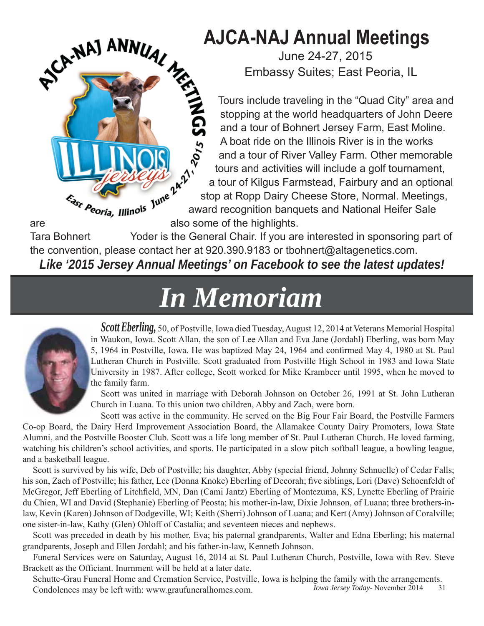## **AJCA-NAJ Annual Meetings**

June 24-27, 2015 Embassy Suites; East Peoria, IL

Tours include traveling in the "Quad City" area and stopping at the world headquarters of John Deere and a tour of Bohnert Jersey Farm, East Moline. A boat ride on the Illinois River is in the works and a tour of River Valley Farm. Other memorable tours and activities will include a golf tournament, a tour of Kilgus Farmstead, Fairbury and an optional stop at Ropp Dairy Cheese Store, Normal. Meetings, award recognition banquets and National Heifer Sale AJCA-NAJ ANNUAL<br>
Embassy

Tara Bohnert Yoder is the General Chair. If you are interested in sponsoring part of the convention, please contact her at 920.390.9183 or tbohnert@altagenetics.com.

*Like '2015 Jersey Annual Meetings' on Facebook to see the latest updates!*

## *In Memoriam Memoriam*



*Scott Eberling,* 50, of Postville, Iowa died Tuesday, August 12, 2014 at Veterans Memorial Hospital in Waukon, Iowa. Scott Allan, the son of Lee Allan and Eva Jane (Jordahl) Eberling, was born May 5, 1964 in Postville, Iowa. He was baptized May 24, 1964 and confirmed May 4, 1980 at St. Paul Lutheran Church in Postville. Scott graduated from Postville High School in 1983 and Iowa State University in 1987. After college, Scott worked for Mike Krambeer until 1995, when he moved to the family farm.

Scott was united in marriage with Deborah Johnson on October 26, 1991 at St. John Lutheran Church in Luana. To this union two children, Abby and Zach, were born.

Scott was active in the community. He served on the Big Four Fair Board, the Postville Farmers Co-op Board, the Dairy Herd Improvement Association Board, the Allamakee County Dairy Promoters, Iowa State Alumni, and the Postville Booster Club. Scott was a life long member of St. Paul Lutheran Church. He loved farming, watching his children's school activities, and sports. He participated in a slow pitch softball league, a bowling league, and a basketball league.

Scott is survived by his wife, Deb of Postville; his daughter, Abby (special friend, Johnny Schnuelle) of Cedar Falls; his son, Zach of Postville; his father, Lee (Donna Knoke) Eberling of Decorah; five siblings, Lori (Dave) Schoenfeldt of McGregor, Jeff Eberling of Litchfield, MN, Dan (Cami Jantz) Eberling of Montezuma, KS, Lynette Eberling of Prairie du Chien, WI and David (Stephanie) Eberling of Peosta; his mother-in-law, Dixie Johnson, of Luana; three brothers-inlaw, Kevin (Karen) Johnson of Dodgeville, WI; Keith (Sherri) Johnson of Luana; and Kert (Amy) Johnson of Coralville; one sister-in-law, Kathy (Glen) Ohloff of Castalia; and seventeen nieces and nephews.

Scott was preceded in death by his mother, Eva; his paternal grandparents, Walter and Edna Eberling; his maternal grandparents, Joseph and Ellen Jordahl; and his father-in-law, Kenneth Johnson.

Funeral Services were on Saturday, August 16, 2014 at St. Paul Lutheran Church, Postville, Iowa with Rev. Steve Brackett as the Officiant. Inurnment will be held at a later date.

*Iowa Jersey Today*- November 2014 31 Schutte-Grau Funeral Home and Cremation Service, Postville, Iowa is helping the family with the arrangements. Condolences may be left with: www.graufuneralhomes.com.